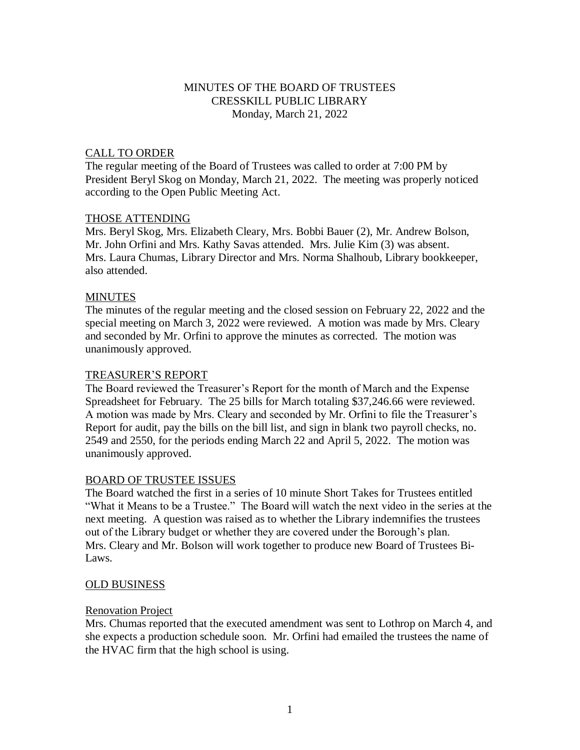# MINUTES OF THE BOARD OF TRUSTEES CRESSKILL PUBLIC LIBRARY Monday, March 21, 2022

#### CALL TO ORDER

The regular meeting of the Board of Trustees was called to order at 7:00 PM by President Beryl Skog on Monday, March 21, 2022. The meeting was properly noticed according to the Open Public Meeting Act.

#### THOSE ATTENDING

Mrs. Beryl Skog, Mrs. Elizabeth Cleary, Mrs. Bobbi Bauer (2), Mr. Andrew Bolson, Mr. John Orfini and Mrs. Kathy Savas attended. Mrs. Julie Kim (3) was absent. Mrs. Laura Chumas, Library Director and Mrs. Norma Shalhoub, Library bookkeeper, also attended.

# **MINUTES**

The minutes of the regular meeting and the closed session on February 22, 2022 and the special meeting on March 3, 2022 were reviewed. A motion was made by Mrs. Cleary and seconded by Mr. Orfini to approve the minutes as corrected. The motion was unanimously approved.

#### TREASURER'S REPORT

The Board reviewed the Treasurer's Report for the month of March and the Expense Spreadsheet for February. The 25 bills for March totaling \$37,246.66 were reviewed. A motion was made by Mrs. Cleary and seconded by Mr. Orfini to file the Treasurer's Report for audit, pay the bills on the bill list, and sign in blank two payroll checks, no. 2549 and 2550, for the periods ending March 22 and April 5, 2022. The motion was unanimously approved.

# BOARD OF TRUSTEE ISSUES

The Board watched the first in a series of 10 minute Short Takes for Trustees entitled "What it Means to be a Trustee." The Board will watch the next video in the series at the next meeting. A question was raised as to whether the Library indemnifies the trustees out of the Library budget or whether they are covered under the Borough's plan. Mrs. Cleary and Mr. Bolson will work together to produce new Board of Trustees Bi-Laws.

# OLD BUSINESS

#### Renovation Project

Mrs. Chumas reported that the executed amendment was sent to Lothrop on March 4, and she expects a production schedule soon. Mr. Orfini had emailed the trustees the name of the HVAC firm that the high school is using.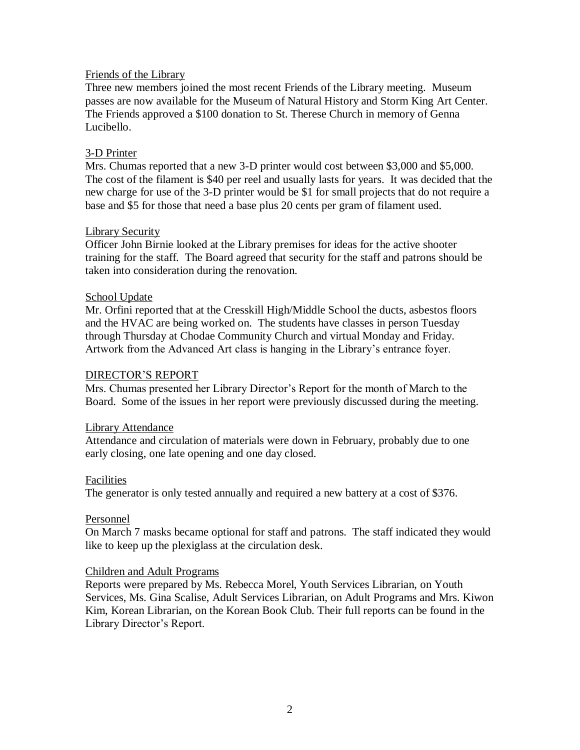# Friends of the Library

Three new members joined the most recent Friends of the Library meeting. Museum passes are now available for the Museum of Natural History and Storm King Art Center. The Friends approved a \$100 donation to St. Therese Church in memory of Genna Lucibello.

# 3-D Printer

Mrs. Chumas reported that a new 3-D printer would cost between \$3,000 and \$5,000. The cost of the filament is \$40 per reel and usually lasts for years. It was decided that the new charge for use of the 3-D printer would be \$1 for small projects that do not require a base and \$5 for those that need a base plus 20 cents per gram of filament used.

# Library Security

Officer John Birnie looked at the Library premises for ideas for the active shooter training for the staff. The Board agreed that security for the staff and patrons should be taken into consideration during the renovation.

# School Update

Mr. Orfini reported that at the Cresskill High/Middle School the ducts, asbestos floors and the HVAC are being worked on. The students have classes in person Tuesday through Thursday at Chodae Community Church and virtual Monday and Friday. Artwork from the Advanced Art class is hanging in the Library's entrance foyer.

# DIRECTOR'S REPORT

Mrs. Chumas presented her Library Director's Report for the month of March to the Board. Some of the issues in her report were previously discussed during the meeting.

# Library Attendance

Attendance and circulation of materials were down in February, probably due to one early closing, one late opening and one day closed.

# Facilities

The generator is only tested annually and required a new battery at a cost of \$376.

# Personnel

On March 7 masks became optional for staff and patrons. The staff indicated they would like to keep up the plexiglass at the circulation desk.

#### Children and Adult Programs

Reports were prepared by Ms. Rebecca Morel, Youth Services Librarian, on Youth Services, Ms. Gina Scalise, Adult Services Librarian, on Adult Programs and Mrs. Kiwon Kim, Korean Librarian, on the Korean Book Club. Their full reports can be found in the Library Director's Report.